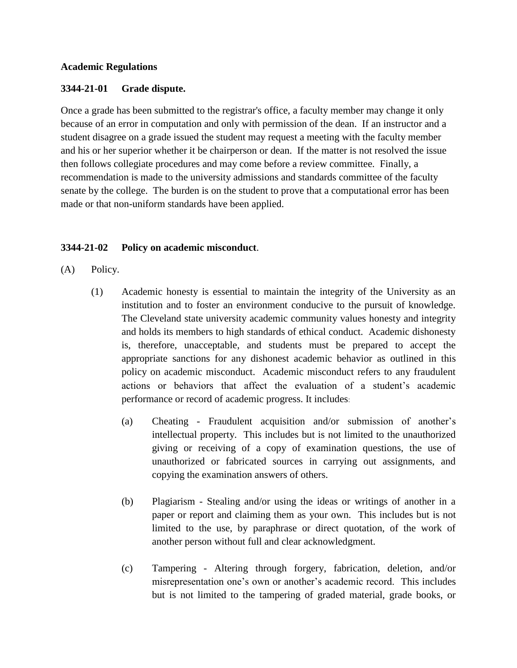#### **Academic Regulations**

### **3344-21-01 Grade dispute.**

Once a grade has been submitted to the registrar's office, a faculty member may change it only because of an error in computation and only with permission of the dean. If an instructor and a student disagree on a grade issued the student may request a meeting with the faculty member and his or her superior whether it be chairperson or dean. If the matter is not resolved the issue then follows collegiate procedures and may come before a review committee. Finally, a recommendation is made to the university admissions and standards committee of the faculty senate by the college. The burden is on the student to prove that a computational error has been made or that non-uniform standards have been applied.

### **3344-21-02 Policy on academic misconduct**.

- (A) Policy.
	- (1) Academic honesty is essential to maintain the integrity of the University as an institution and to foster an environment conducive to the pursuit of knowledge. The Cleveland state university academic community values honesty and integrity and holds its members to high standards of ethical conduct. Academic dishonesty is, therefore, unacceptable, and students must be prepared to accept the appropriate sanctions for any dishonest academic behavior as outlined in this policy on academic misconduct. Academic misconduct refers to any fraudulent actions or behaviors that affect the evaluation of a student's academic performance or record of academic progress. It includes:
		- (a) Cheating Fraudulent acquisition and/or submission of another's intellectual property. This includes but is not limited to the unauthorized giving or receiving of a copy of examination questions, the use of unauthorized or fabricated sources in carrying out assignments, and copying the examination answers of others.
		- (b) Plagiarism Stealing and/or using the ideas or writings of another in a paper or report and claiming them as your own. This includes but is not limited to the use, by paraphrase or direct quotation, of the work of another person without full and clear acknowledgment.
		- (c) Tampering Altering through forgery, fabrication, deletion, and/or misrepresentation one's own or another's academic record. This includes but is not limited to the tampering of graded material, grade books, or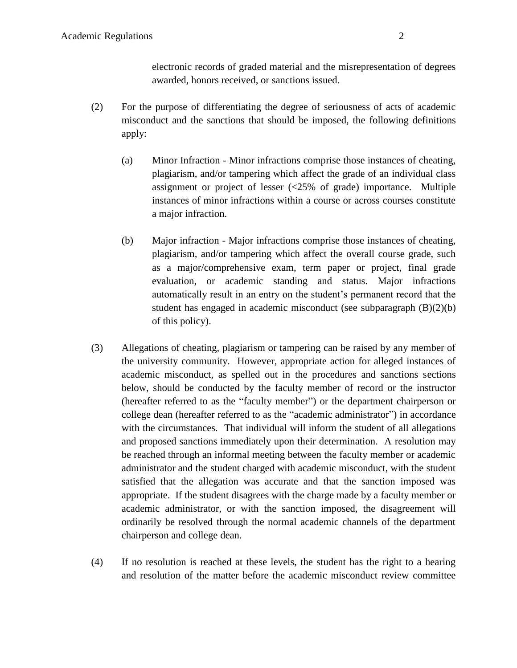electronic records of graded material and the misrepresentation of degrees awarded, honors received, or sanctions issued.

- (2) For the purpose of differentiating the degree of seriousness of acts of academic misconduct and the sanctions that should be imposed, the following definitions apply:
	- (a) Minor Infraction Minor infractions comprise those instances of cheating, plagiarism, and/or tampering which affect the grade of an individual class assignment or project of lesser (<25% of grade) importance. Multiple instances of minor infractions within a course or across courses constitute a major infraction.
	- (b) Major infraction Major infractions comprise those instances of cheating, plagiarism, and/or tampering which affect the overall course grade, such as a major/comprehensive exam, term paper or project, final grade evaluation, or academic standing and status. Major infractions automatically result in an entry on the student's permanent record that the student has engaged in academic misconduct (see subparagraph (B)(2)(b) of this policy).
- (3) Allegations of cheating, plagiarism or tampering can be raised by any member of the university community. However, appropriate action for alleged instances of academic misconduct, as spelled out in the procedures and sanctions sections below, should be conducted by the faculty member of record or the instructor (hereafter referred to as the "faculty member") or the department chairperson or college dean (hereafter referred to as the "academic administrator") in accordance with the circumstances. That individual will inform the student of all allegations and proposed sanctions immediately upon their determination. A resolution may be reached through an informal meeting between the faculty member or academic administrator and the student charged with academic misconduct, with the student satisfied that the allegation was accurate and that the sanction imposed was appropriate. If the student disagrees with the charge made by a faculty member or academic administrator, or with the sanction imposed, the disagreement will ordinarily be resolved through the normal academic channels of the department chairperson and college dean.
- (4) If no resolution is reached at these levels, the student has the right to a hearing and resolution of the matter before the academic misconduct review committee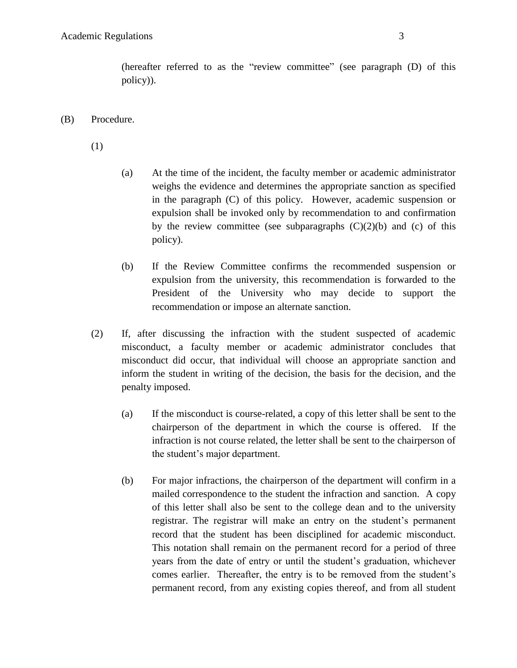(hereafter referred to as the "review committee" (see paragraph (D) of this policy)).

(B) Procedure.

(1)

- (a) At the time of the incident, the faculty member or academic administrator weighs the evidence and determines the appropriate sanction as specified in the paragraph (C) of this policy. However, academic suspension or expulsion shall be invoked only by recommendation to and confirmation by the review committee (see subparagraphs  $(C)(2)(b)$  and  $(c)$  of this policy).
- (b) If the Review Committee confirms the recommended suspension or expulsion from the university, this recommendation is forwarded to the President of the University who may decide to support the recommendation or impose an alternate sanction.
- (2) If, after discussing the infraction with the student suspected of academic misconduct, a faculty member or academic administrator concludes that misconduct did occur, that individual will choose an appropriate sanction and inform the student in writing of the decision, the basis for the decision, and the penalty imposed.
	- (a) If the misconduct is course-related, a copy of this letter shall be sent to the chairperson of the department in which the course is offered. If the infraction is not course related, the letter shall be sent to the chairperson of the student's major department.
	- (b) For major infractions, the chairperson of the department will confirm in a mailed correspondence to the student the infraction and sanction. A copy of this letter shall also be sent to the college dean and to the university registrar. The registrar will make an entry on the student's permanent record that the student has been disciplined for academic misconduct. This notation shall remain on the permanent record for a period of three years from the date of entry or until the student's graduation, whichever comes earlier. Thereafter, the entry is to be removed from the student's permanent record, from any existing copies thereof, and from all student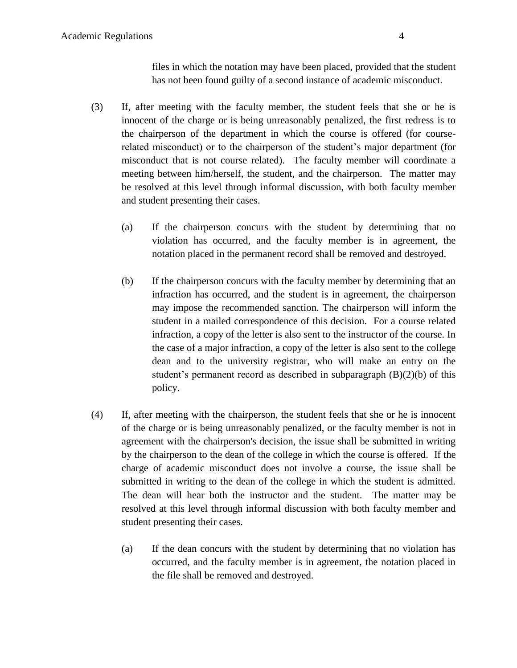files in which the notation may have been placed, provided that the student has not been found guilty of a second instance of academic misconduct.

- (3) If, after meeting with the faculty member, the student feels that she or he is innocent of the charge or is being unreasonably penalized, the first redress is to the chairperson of the department in which the course is offered (for courserelated misconduct) or to the chairperson of the student's major department (for misconduct that is not course related). The faculty member will coordinate a meeting between him/herself, the student, and the chairperson. The matter may be resolved at this level through informal discussion, with both faculty member and student presenting their cases.
	- (a) If the chairperson concurs with the student by determining that no violation has occurred, and the faculty member is in agreement, the notation placed in the permanent record shall be removed and destroyed.
	- (b) If the chairperson concurs with the faculty member by determining that an infraction has occurred, and the student is in agreement, the chairperson may impose the recommended sanction. The chairperson will inform the student in a mailed correspondence of this decision. For a course related infraction, a copy of the letter is also sent to the instructor of the course. In the case of a major infraction, a copy of the letter is also sent to the college dean and to the university registrar, who will make an entry on the student's permanent record as described in subparagraph (B)(2)(b) of this policy.
- (4) If, after meeting with the chairperson, the student feels that she or he is innocent of the charge or is being unreasonably penalized, or the faculty member is not in agreement with the chairperson's decision, the issue shall be submitted in writing by the chairperson to the dean of the college in which the course is offered. If the charge of academic misconduct does not involve a course, the issue shall be submitted in writing to the dean of the college in which the student is admitted. The dean will hear both the instructor and the student. The matter may be resolved at this level through informal discussion with both faculty member and student presenting their cases.
	- (a) If the dean concurs with the student by determining that no violation has occurred, and the faculty member is in agreement, the notation placed in the file shall be removed and destroyed.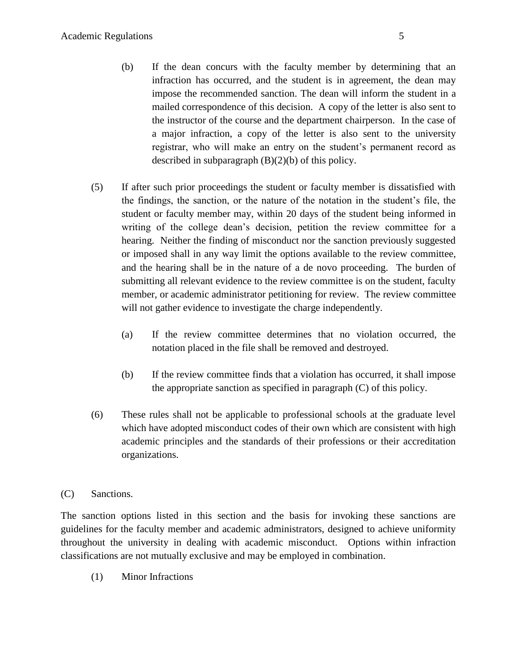- (b) If the dean concurs with the faculty member by determining that an infraction has occurred, and the student is in agreement, the dean may impose the recommended sanction. The dean will inform the student in a mailed correspondence of this decision. A copy of the letter is also sent to the instructor of the course and the department chairperson. In the case of a major infraction, a copy of the letter is also sent to the university registrar, who will make an entry on the student's permanent record as described in subparagraph  $(B)(2)(b)$  of this policy.
- (5) If after such prior proceedings the student or faculty member is dissatisfied with the findings, the sanction, or the nature of the notation in the student's file, the student or faculty member may, within 20 days of the student being informed in writing of the college dean's decision, petition the review committee for a hearing. Neither the finding of misconduct nor the sanction previously suggested or imposed shall in any way limit the options available to the review committee, and the hearing shall be in the nature of a de novo proceeding. The burden of submitting all relevant evidence to the review committee is on the student, faculty member, or academic administrator petitioning for review. The review committee will not gather evidence to investigate the charge independently.
	- (a) If the review committee determines that no violation occurred, the notation placed in the file shall be removed and destroyed.
	- (b) If the review committee finds that a violation has occurred, it shall impose the appropriate sanction as specified in paragraph (C) of this policy.
- (6) These rules shall not be applicable to professional schools at the graduate level which have adopted misconduct codes of their own which are consistent with high academic principles and the standards of their professions or their accreditation organizations.
- (C) Sanctions.

The sanction options listed in this section and the basis for invoking these sanctions are guidelines for the faculty member and academic administrators, designed to achieve uniformity throughout the university in dealing with academic misconduct. Options within infraction classifications are not mutually exclusive and may be employed in combination.

(1) Minor Infractions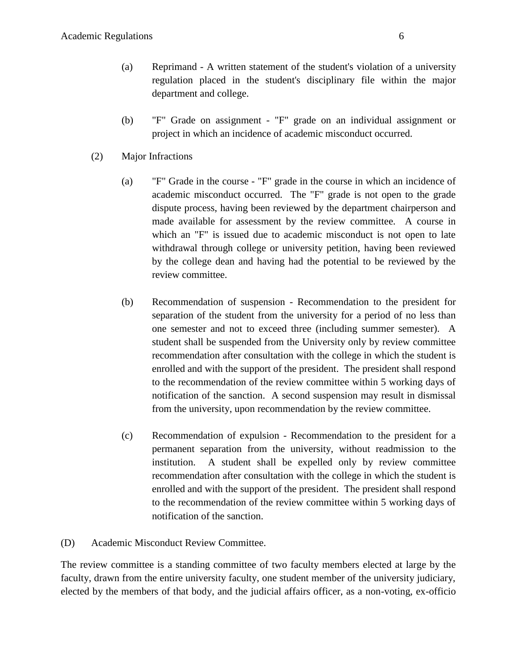- (a) Reprimand A written statement of the student's violation of a university regulation placed in the student's disciplinary file within the major department and college.
- (b) "F" Grade on assignment "F" grade on an individual assignment or project in which an incidence of academic misconduct occurred.
- (2) Major Infractions
	- (a) "F" Grade in the course "F" grade in the course in which an incidence of academic misconduct occurred. The "F" grade is not open to the grade dispute process, having been reviewed by the department chairperson and made available for assessment by the review committee. A course in which an "F" is issued due to academic misconduct is not open to late withdrawal through college or university petition, having been reviewed by the college dean and having had the potential to be reviewed by the review committee.
	- (b) Recommendation of suspension Recommendation to the president for separation of the student from the university for a period of no less than one semester and not to exceed three (including summer semester). A student shall be suspended from the University only by review committee recommendation after consultation with the college in which the student is enrolled and with the support of the president. The president shall respond to the recommendation of the review committee within 5 working days of notification of the sanction. A second suspension may result in dismissal from the university, upon recommendation by the review committee.
	- (c) Recommendation of expulsion Recommendation to the president for a permanent separation from the university, without readmission to the institution. A student shall be expelled only by review committee recommendation after consultation with the college in which the student is enrolled and with the support of the president. The president shall respond to the recommendation of the review committee within 5 working days of notification of the sanction.
- (D) Academic Misconduct Review Committee.

The review committee is a standing committee of two faculty members elected at large by the faculty, drawn from the entire university faculty, one student member of the university judiciary, elected by the members of that body, and the judicial affairs officer, as a non-voting, ex-officio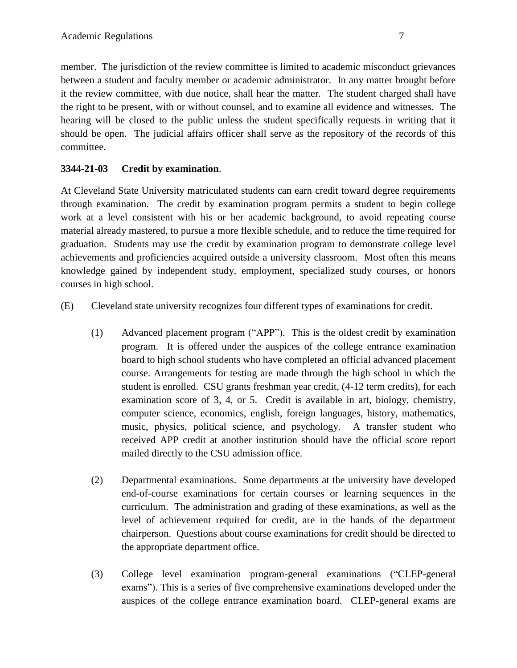member. The jurisdiction of the review committee is limited to academic misconduct grievances between a student and faculty member or academic administrator. In any matter brought before it the review committee, with due notice, shall hear the matter. The student charged shall have the right to be present, with or without counsel, and to examine all evidence and witnesses. The hearing will be closed to the public unless the student specifically requests in writing that it should be open. The judicial affairs officer shall serve as the repository of the records of this committee.

# **3344-21-03 Credit by examination**.

At Cleveland State University matriculated students can earn credit toward degree requirements through examination. The credit by examination program permits a student to begin college work at a level consistent with his or her academic background, to avoid repeating course material already mastered, to pursue a more flexible schedule, and to reduce the time required for graduation. Students may use the credit by examination program to demonstrate college level achievements and proficiencies acquired outside a university classroom. Most often this means knowledge gained by independent study, employment, specialized study courses, or honors courses in high school.

(E) Cleveland state university recognizes four different types of examinations for credit.

- (1) Advanced placement program ("APP"). This is the oldest credit by examination program. It is offered under the auspices of the college entrance examination board to high school students who have completed an official advanced placement course. Arrangements for testing are made through the high school in which the student is enrolled. CSU grants freshman year credit, (4-12 term credits), for each examination score of 3, 4, or 5. Credit is available in art, biology, chemistry, computer science, economics, english, foreign languages, history, mathematics, music, physics, political science, and psychology. A transfer student who received APP credit at another institution should have the official score report mailed directly to the CSU admission office.
- (2) Departmental examinations. Some departments at the university have developed end-of-course examinations for certain courses or learning sequences in the curriculum. The administration and grading of these examinations, as well as the level of achievement required for credit, are in the hands of the department chairperson. Questions about course examinations for credit should be directed to the appropriate department office.
- (3) College level examination program-general examinations ("CLEP-general exams"). This is a series of five comprehensive examinations developed under the auspices of the college entrance examination board. CLEP-general exams are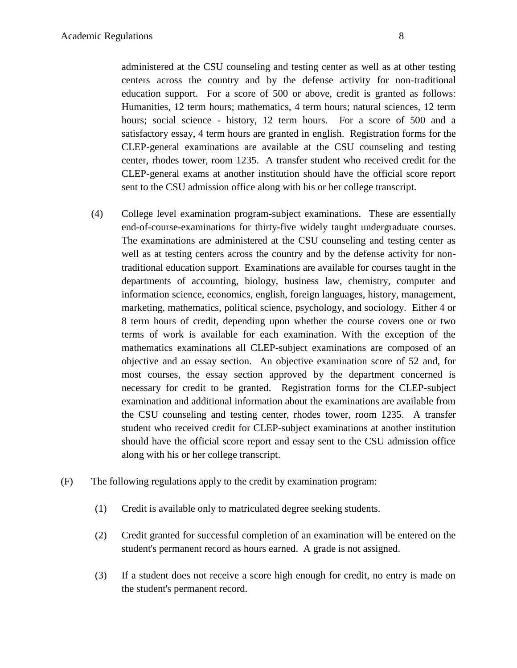administered at the CSU counseling and testing center as well as at other testing centers across the country and by the defense activity for non-traditional education support. For a score of 500 or above, credit is granted as follows: Humanities, 12 term hours; mathematics, 4 term hours; natural sciences, 12 term hours; social science - history, 12 term hours. For a score of 500 and a satisfactory essay, 4 term hours are granted in english. Registration forms for the CLEP-general examinations are available at the CSU counseling and testing center, rhodes tower, room 1235. A transfer student who received credit for the CLEP-general exams at another institution should have the official score report sent to the CSU admission office along with his or her college transcript.

- (4) College level examination program-subject examinations. These are essentially end-of-course-examinations for thirty-five widely taught undergraduate courses. The examinations are administered at the CSU counseling and testing center as well as at testing centers across the country and by the defense activity for nontraditional education support. Examinations are available for courses taught in the departments of accounting, biology, business law, chemistry, computer and information science, economics, english, foreign languages, history, management, marketing, mathematics, political science, psychology, and sociology. Either 4 or 8 term hours of credit, depending upon whether the course covers one or two terms of work is available for each examination. With the exception of the mathematics examinations all CLEP-subject examinations are composed of an objective and an essay section. An objective examination score of 52 and, for most courses, the essay section approved by the department concerned is necessary for credit to be granted. Registration forms for the CLEP-subject examination and additional information about the examinations are available from the CSU counseling and testing center, rhodes tower, room 1235. A transfer student who received credit for CLEP-subject examinations at another institution should have the official score report and essay sent to the CSU admission office along with his or her college transcript.
- (F) The following regulations apply to the credit by examination program:
	- (1) Credit is available only to matriculated degree seeking students.
	- (2) Credit granted for successful completion of an examination will be entered on the student's permanent record as hours earned. A grade is not assigned.
	- (3) If a student does not receive a score high enough for credit, no entry is made on the student's permanent record.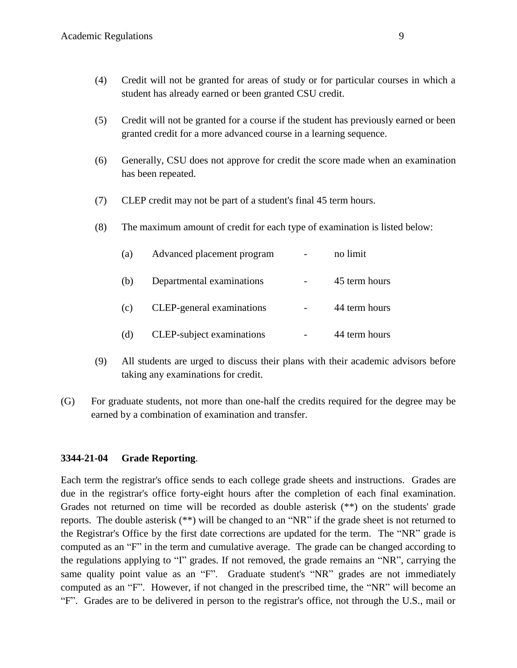- (4) Credit will not be granted for areas of study or for particular courses in which a student has already earned or been granted CSU credit.
- (5) Credit will not be granted for a course if the student has previously earned or been granted credit for a more advanced course in a learning sequence.
- (6) Generally, CSU does not approve for credit the score made when an examination has been repeated.
- (7) CLEP credit may not be part of a student's final 45 term hours.
- (8) The maximum amount of credit for each type of examination is listed below:

| (a) | Advanced placement program | no limit      |
|-----|----------------------------|---------------|
| (b) | Departmental examinations  | 45 term hours |
| (c) | CLEP-general examinations  | 44 term hours |
| (d) | CLEP-subject examinations  | 44 term hours |

- (9) All students are urged to discuss their plans with their academic advisors before taking any examinations for credit.
- (G) For graduate students, not more than one-half the credits required for the degree may be earned by a combination of examination and transfer.

### **3344-21-04 Grade Reporting**.

Each term the registrar's office sends to each college grade sheets and instructions. Grades are due in the registrar's office forty-eight hours after the completion of each final examination. Grades not returned on time will be recorded as double asterisk (\*\*) on the students' grade reports. The double asterisk (\*\*) will be changed to an "NR" if the grade sheet is not returned to the Registrar's Office by the first date corrections are updated for the term. The "NR" grade is computed as an "F" in the term and cumulative average. The grade can be changed according to the regulations applying to "I" grades. If not removed, the grade remains an "NR", carrying the same quality point value as an "F". Graduate student's "NR" grades are not immediately computed as an "F". However, if not changed in the prescribed time, the "NR" will become an "F". Grades are to be delivered in person to the registrar's office, not through the U.S., mail or